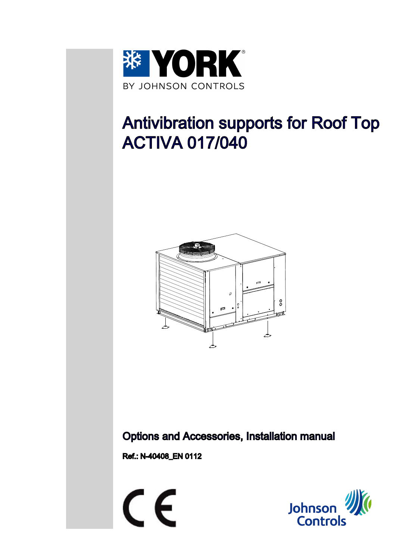

# Antivibration supports for Roof Top ACTIVA 017/040



### Options and Accessories, Installation manual

Ref.: N-40408\_EN 0112



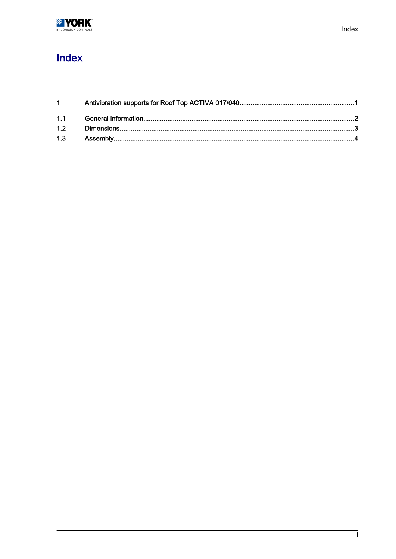## Index

| $1 \quad \blacksquare$ |
|------------------------|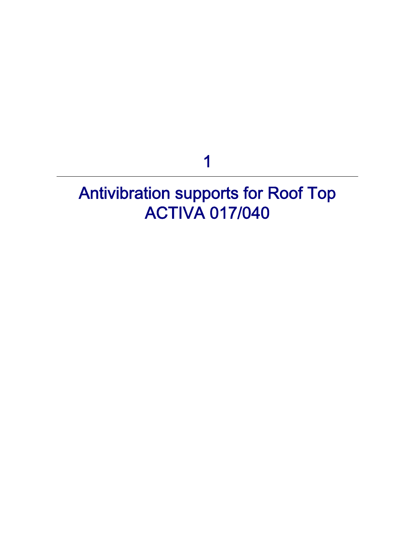1

# <span id="page-2-0"></span>Antivibration supports for Roof Top ACTIVA 017/040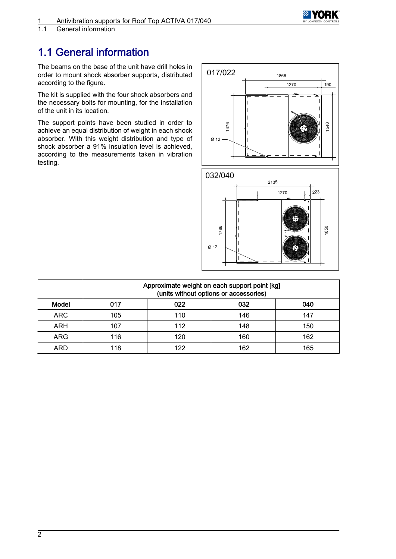

<span id="page-3-0"></span>General information

### 1.1 General information

The beams on the base of the unit have drill holes in order to mount shock absorber supports, distributed according to the figure.

The kit is supplied with the four shock absorbers and the necessary bolts for mounting, for the installation of the unit in its location.

The support points have been studied in order to achieve an equal distribution of weight in each shock absorber. With this weight distribution and type of shock absorber a 91% insulation level is achieved, according to the measurements taken in vibration testing.



|            | Approximate weight on each support point [kg]<br>(units without options or accessories) |     |     |     |  |
|------------|-----------------------------------------------------------------------------------------|-----|-----|-----|--|
| Model      | በ17                                                                                     | 022 | 032 | 040 |  |
| <b>ARC</b> | 105                                                                                     | 110 | 146 | 147 |  |
| ARH        | 107                                                                                     | 112 | 148 | 150 |  |
| <b>ARG</b> | 116                                                                                     | 120 | 160 | 162 |  |
| ARD        | 118                                                                                     | 122 | 162 | 165 |  |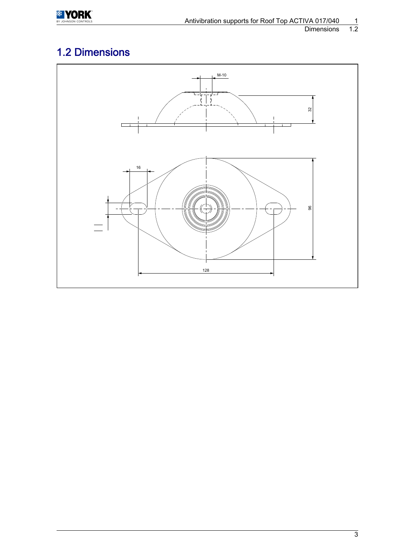<span id="page-4-0"></span>

#### Dimensions

## 1.2 Dimensions